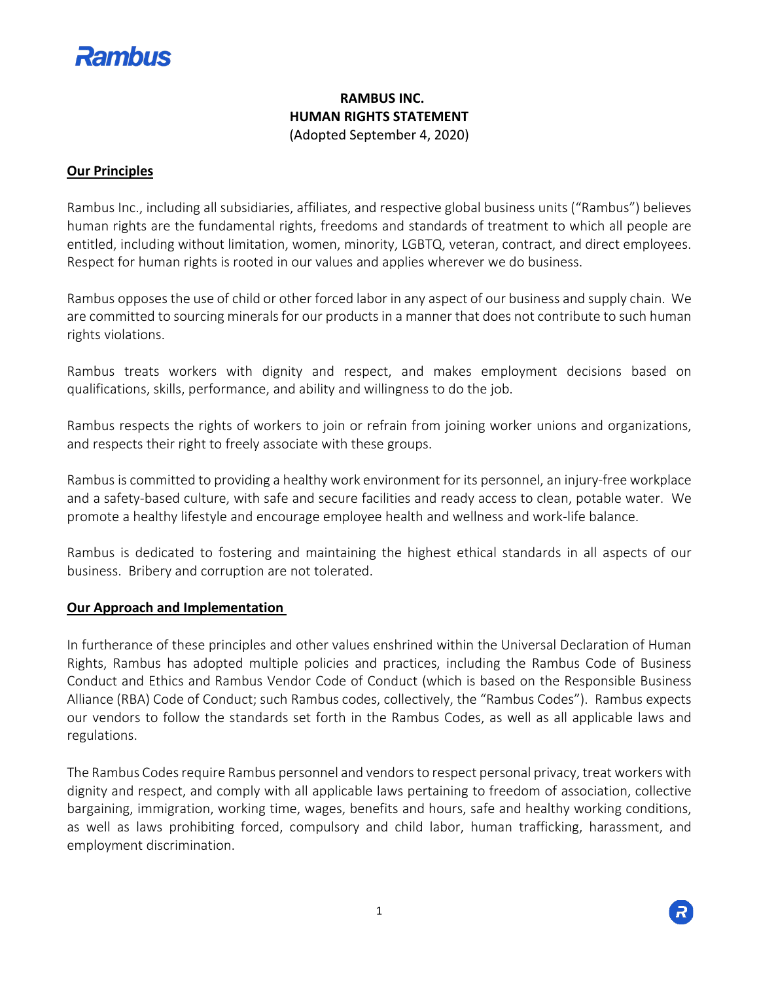

# **RAMBUS INC. HUMAN RIGHTS STATEMENT** (Adopted September 4, 2020)

### **Our Principles**

Rambus Inc., including all subsidiaries, affiliates, and respective global business units ("Rambus") believes human rights are the fundamental rights, freedoms and standards of treatment to which all people are entitled, including without limitation, women, minority, LGBTQ, veteran, contract, and direct employees. Respect for human rights is rooted in our values and applies wherever we do business.

Rambus opposes the use of child or other forced labor in any aspect of our business and supply chain. We are committed to sourcing minerals for our products in a manner that does not contribute to such human rights violations.

Rambus treats workers with dignity and respect, and makes employment decisions based on qualifications, skills, performance, and ability and willingness to do the job.

Rambus respects the rights of workers to join or refrain from joining worker unions and organizations, and respects their right to freely associate with these groups.

Rambus is committed to providing a healthy work environment for its personnel, an injury-free workplace and a safety-based culture, with safe and secure facilities and ready access to clean, potable water. We promote a healthy lifestyle and encourage employee health and wellness and work-life balance.

Rambus is dedicated to fostering and maintaining the highest ethical standards in all aspects of our business. Bribery and corruption are not tolerated.

#### **Our Approach and Implementation**

In furtherance of these principles and other values enshrined within the Universal Declaration of Human Rights, Rambus has adopted multiple policies and practices, including the Rambus Code of Business Conduct and Ethics and Rambus Vendor Code of Conduct (which is based on the Responsible Business Alliance (RBA) Code of Conduct; such Rambus codes, collectively, the "Rambus Codes"). Rambus expects our vendors to follow the standards set forth in the Rambus Codes, as well as all applicable laws and regulations.

The Rambus Codes require Rambus personnel and vendors to respect personal privacy, treat workers with dignity and respect, and comply with all applicable laws pertaining to freedom of association, collective bargaining, immigration, working time, wages, benefits and hours, safe and healthy working conditions, as well as laws prohibiting forced, compulsory and child labor, human trafficking, harassment, and employment discrimination.